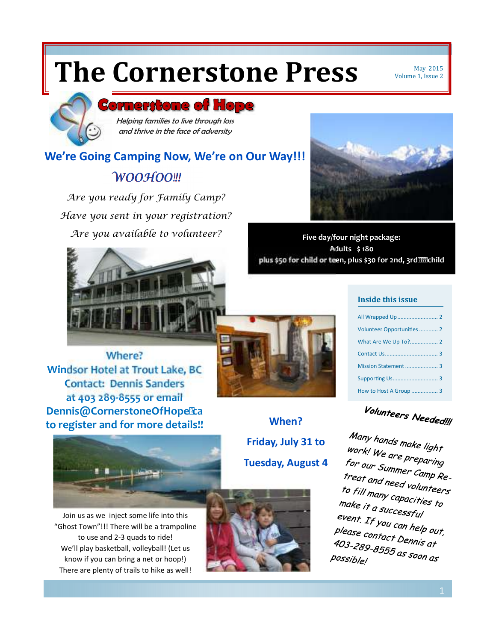# **The Cornerstone Press** May 2015

Volume 1, Issue 2

### **Cornerstone of Hope**

Helping families to live through loss and thrive in the face of adversity

### *WOOHOO!!!*  **We're Going Camping Now, We're on Our Way!!!**

*Are you ready for Family Camp? Have you sent in your registration? Are you available to volunteer?* 





**Five day/four night package: Adults \$ 180 plus \$50 for child or teen, plus \$30 for 2nd, 3rd????..bild** 



| Volunteer Opportunities  2 |
|----------------------------|
|                            |
|                            |
| Mission Statement  3       |
|                            |
| How to Host A Group  3     |

Volunteers Needed!!!

Many hands make light<br><sup>Work!</sup> We are work! We are preparing<br>for our Summ. for our Summer Camp Re-<br>For our Summer Camp Re-<br>treat and nead *treat and need volunteers*<br>*treat and need volunteers* to fill many capacities to<br>to fill many capacities to<br>make it a succes fo make it a successful<br>event re event. If you can help out,<br>please contact New Your, Please contact Dennis at<br>Please contact Dennis at , suse contact Dennis at<br>403-289-8555 as soon as<br><sup>possi</sup>ble! possible!

**Where? Windsor Hotel at Trout Lake, BC Contact: Dennis Sanders at 403 289-8555 or email Dennis@CornerstoneOfHopeTa to register and for more details!! When?** 

**Friday, July 31 to Tuesday, August 4** 



Join us as we inject some life into this "Ghost Town"!!! There will be a trampoline to use and 2-3 quads to ride! We'll play basketball, volleyball! (Let us know if you can bring a net or hoop!) There are plenty of trails to hike as well!

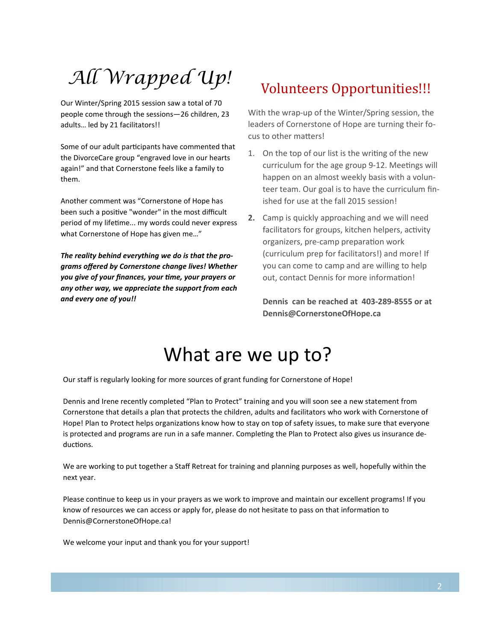## All Wrapped Up! volunteers Opportunities!!!

Our Winter/Spring 2015 session saw a total of 70 people come through the sessions—26 children, 23 adults… led by 21 facilitators!!

Some of our adult participants have commented that the DivorceCare group "engraved love in our hearts again!" and that Cornerstone feels like a family to them.

Another comment was "Cornerstone of Hope has been such a positive "wonder" in the most difficult period of my lifetime... my words could never express what Cornerstone of Hope has given me…"

*The reality behind everything we do is that the programs offered by Cornerstone change lives! Whether you give of your finances, your me, your prayers or any other way, we appreciate the support from each and every one of you!!* 

With the wrap-up of the Winter/Spring session, the leaders of Cornerstone of Hope are turning their focus to other matters!

- 1. On the top of our list is the writing of the new curriculum for the age group 9-12. Meetings will happen on an almost weekly basis with a volunteer team. Our goal is to have the curriculum finished for use at the fall 2015 session!
- **2.** Camp is quickly approaching and we will need facilitators for groups, kitchen helpers, activity organizers, pre-camp preparation work (curriculum prep for facilitators!) and more! If you can come to camp and are willing to help out, contact Dennis for more information!

**Dennis can be reached at 403-289-8555 or at Dennis@CornerstoneOfHope.ca** 

## What are we up to?

Our staff is regularly looking for more sources of grant funding for Cornerstone of Hope!

Dennis and Irene recently completed "Plan to Protect" training and you will soon see a new statement from Cornerstone that details a plan that protects the children, adults and facilitators who work with Cornerstone of Hope! Plan to Protect helps organizations know how to stay on top of safety issues, to make sure that everyone is protected and programs are run in a safe manner. Completing the Plan to Protect also gives us insurance deductions.

We are working to put together a Staff Retreat for training and planning purposes as well, hopefully within the next year.

Please continue to keep us in your prayers as we work to improve and maintain our excellent programs! If you know of resources we can access or apply for, please do not hesitate to pass on that information to Dennis@CornerstoneOfHope.ca!

We welcome your input and thank you for your support!